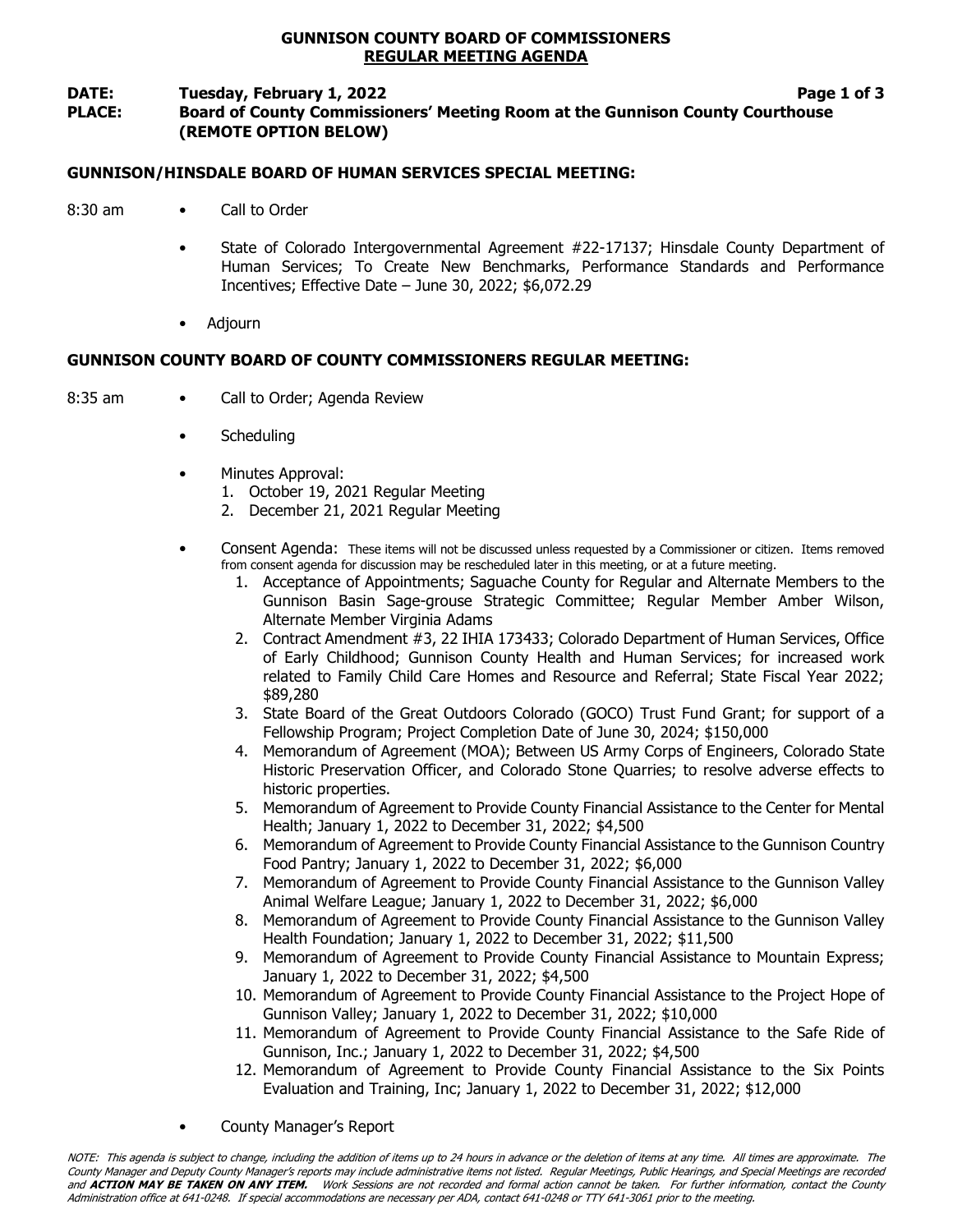### GUNNISON COUNTY BOARD OF COMMISSIONERS REGULAR MEETING AGENDA

#### DATE: Tuesday, February 1, 2022 **Page 1 of 3** Page 1 of 3

# PLACE: Board of County Commissioners' Meeting Room at the Gunnison County Courthouse (REMOTE OPTION BELOW)

### GUNNISON/HINSDALE BOARD OF HUMAN SERVICES SPECIAL MEETING:

- 8:30 am Call to Order
	- State of Colorado Intergovernmental Agreement #22-17137; Hinsdale County Department of Human Services; To Create New Benchmarks, Performance Standards and Performance Incentives; Effective Date – June 30, 2022; \$6,072.29
	- Adjourn

# GUNNISON COUNTY BOARD OF COUNTY COMMISSIONERS REGULAR MEETING:

- 8:35 am Call to Order; Agenda Review
	- **Scheduling**
	- Minutes Approval:
		- 1. October 19, 2021 Regular Meeting
		- 2. December 21, 2021 Regular Meeting
	- Consent Agenda: These items will not be discussed unless requested by a Commissioner or citizen. Items removed from consent agenda for discussion may be rescheduled later in this meeting, or at a future meeting.
		- 1. Acceptance of Appointments; Saguache County for Regular and Alternate Members to the Gunnison Basin Sage-grouse Strategic Committee; Regular Member Amber Wilson, Alternate Member Virginia Adams
		- 2. Contract Amendment #3, 22 IHIA 173433; Colorado Department of Human Services, Office of Early Childhood; Gunnison County Health and Human Services; for increased work related to Family Child Care Homes and Resource and Referral; State Fiscal Year 2022; \$89,280
		- 3. State Board of the Great Outdoors Colorado (GOCO) Trust Fund Grant; for support of a Fellowship Program; Project Completion Date of June 30, 2024; \$150,000
		- 4. Memorandum of Agreement (MOA); Between US Army Corps of Engineers, Colorado State Historic Preservation Officer, and Colorado Stone Quarries; to resolve adverse effects to historic properties.
		- 5. Memorandum of Agreement to Provide County Financial Assistance to the Center for Mental Health; January 1, 2022 to December 31, 2022; \$4,500
		- 6. Memorandum of Agreement to Provide County Financial Assistance to the Gunnison Country Food Pantry; January 1, 2022 to December 31, 2022; \$6,000
		- 7. Memorandum of Agreement to Provide County Financial Assistance to the Gunnison Valley Animal Welfare League; January 1, 2022 to December 31, 2022; \$6,000
		- 8. Memorandum of Agreement to Provide County Financial Assistance to the Gunnison Valley Health Foundation; January 1, 2022 to December 31, 2022; \$11,500
		- 9. Memorandum of Agreement to Provide County Financial Assistance to Mountain Express; January 1, 2022 to December 31, 2022; \$4,500
		- 10. Memorandum of Agreement to Provide County Financial Assistance to the Project Hope of Gunnison Valley; January 1, 2022 to December 31, 2022; \$10,000
		- 11. Memorandum of Agreement to Provide County Financial Assistance to the Safe Ride of Gunnison, Inc.; January 1, 2022 to December 31, 2022; \$4,500
		- 12. Memorandum of Agreement to Provide County Financial Assistance to the Six Points Evaluation and Training, Inc; January 1, 2022 to December 31, 2022; \$12,000
	- County Manager's Report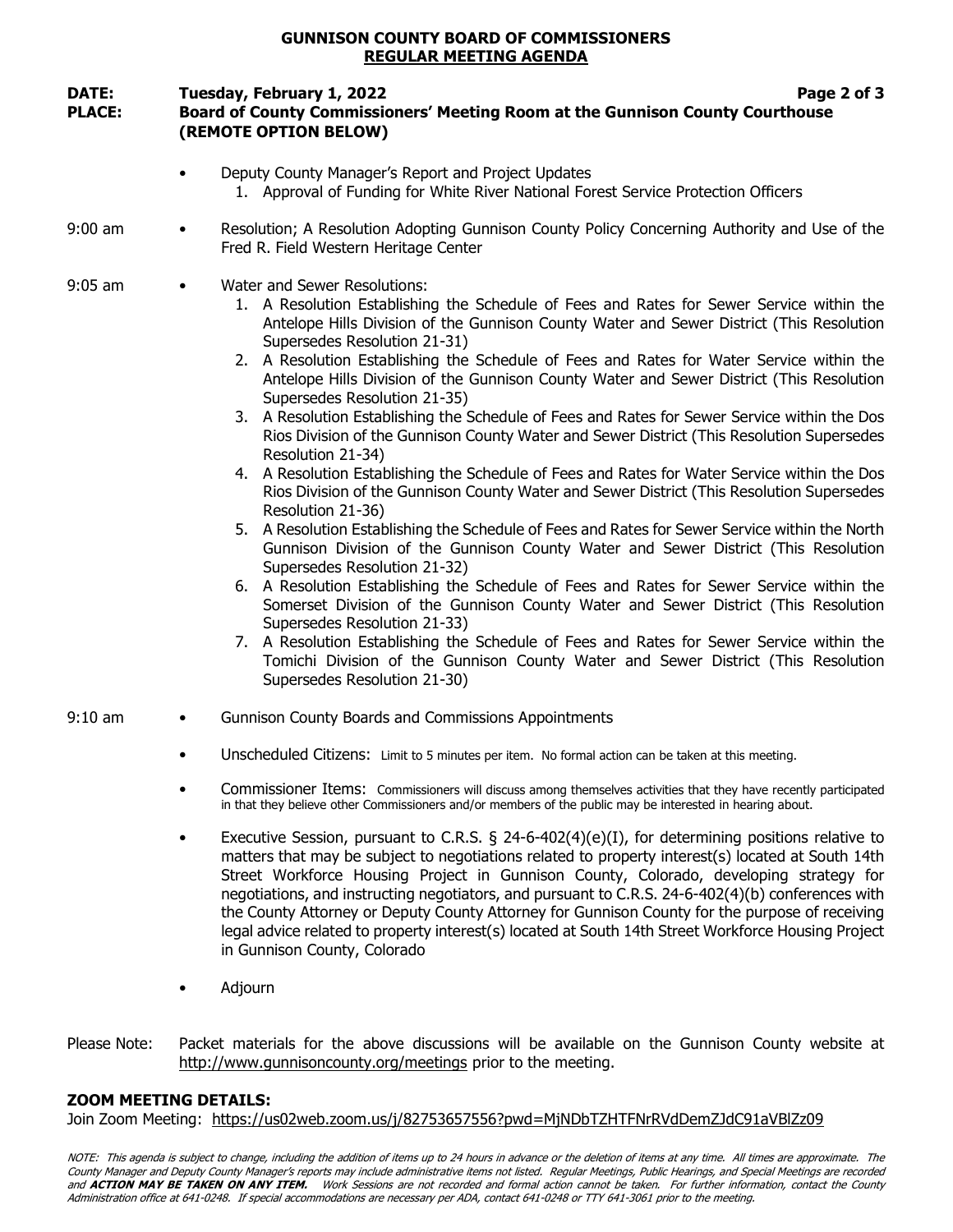## GUNNISON COUNTY BOARD OF COMMISSIONERS REGULAR MEETING AGENDA

# DATE: Tuesday, February 1, 2022 **Page 2 of 3** and 2 of 3 PLACE: Board of County Commissioners' Meeting Room at the Gunnison County Courthouse (REMOTE OPTION BELOW)

- Deputy County Manager's Report and Project Updates 1. Approval of Funding for White River National Forest Service Protection Officers
- 9:00 am Resolution; A Resolution Adopting Gunnison County Policy Concerning Authority and Use of the Fred R. Field Western Heritage Center
- 9:05 am Water and Sewer Resolutions:
	- 1. A Resolution Establishing the Schedule of Fees and Rates for Sewer Service within the Antelope Hills Division of the Gunnison County Water and Sewer District (This Resolution Supersedes Resolution 21-31)
	- 2. A Resolution Establishing the Schedule of Fees and Rates for Water Service within the Antelope Hills Division of the Gunnison County Water and Sewer District (This Resolution Supersedes Resolution 21-35)
	- 3. A Resolution Establishing the Schedule of Fees and Rates for Sewer Service within the Dos Rios Division of the Gunnison County Water and Sewer District (This Resolution Supersedes Resolution 21-34)
	- 4. A Resolution Establishing the Schedule of Fees and Rates for Water Service within the Dos Rios Division of the Gunnison County Water and Sewer District (This Resolution Supersedes Resolution 21-36)
	- 5. A Resolution Establishing the Schedule of Fees and Rates for Sewer Service within the North Gunnison Division of the Gunnison County Water and Sewer District (This Resolution Supersedes Resolution 21-32)
	- 6. A Resolution Establishing the Schedule of Fees and Rates for Sewer Service within the Somerset Division of the Gunnison County Water and Sewer District (This Resolution Supersedes Resolution 21-33)
	- 7. A Resolution Establishing the Schedule of Fees and Rates for Sewer Service within the Tomichi Division of the Gunnison County Water and Sewer District (This Resolution Supersedes Resolution 21-30)
- 9:10 am Gunnison County Boards and Commissions Appointments
	- Unscheduled Citizens: Limit to 5 minutes per item. No formal action can be taken at this meeting.
	- Commissioner Items: Commissioners will discuss among themselves activities that they have recently participated in that they believe other Commissioners and/or members of the public may be interested in hearing about.
	- Executive Session, pursuant to C.R.S. § 24-6-402(4)(e)(I), for determining positions relative to matters that may be subject to negotiations related to property interest(s) located at South 14th Street Workforce Housing Project in Gunnison County, Colorado, developing strategy for negotiations, and instructing negotiators, and pursuant to C.R.S. 24-6-402(4)(b) conferences with the County Attorney or Deputy County Attorney for Gunnison County for the purpose of receiving legal advice related to property interest(s) located at South 14th Street Workforce Housing Project in Gunnison County, Colorado
	- Adjourn
- Please Note: Packet materials for the above discussions will be available on the Gunnison County website at http://www.gunnisoncounty.org/meetings prior to the meeting.

# ZOOM MEETING DETAILS:

Join Zoom Meeting: https://us02web.zoom.us/j/82753657556?pwd=MjNDbTZHTFNrRVdDemZJdC91aVBlZz09

NOTE: This agenda is subject to change, including the addition of items up to 24 hours in advance or the deletion of items at any time. All times are approximate. The County Manager and Deputy County Manager's reports may include administrative items not listed. Regular Meetings, Public Hearings, and Special Meetings are recorded and ACTION MAY BE TAKEN ON ANY ITEM. Work Sessions are not recorded and formal action cannot be taken. For further information, contact the County Administration office at 641-0248. If special accommodations are necessary per ADA, contact 641-0248 or TTY 641-3061 prior to the meeting.